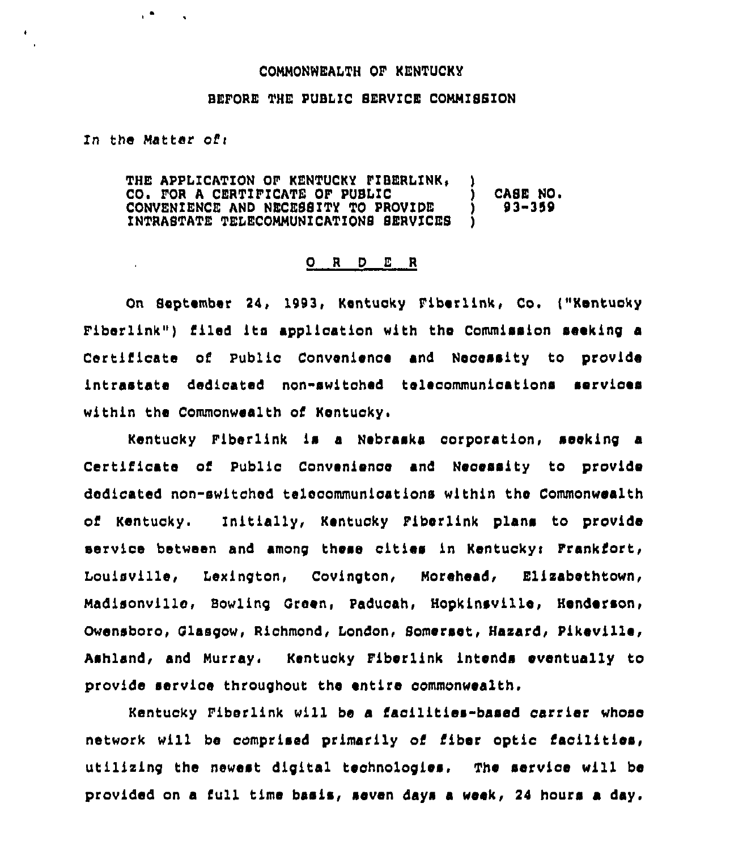## COMMONWEALTH OF KENTUCKY

## BEFORE THE PUBLIC SERVICE COMMISSION

In the Matter of:

 $\mathbf{r}$ 

 $\ddot{\phantom{a}}$ 

THE APPLICATION OF KENTUCKY FIBERLINK. CO. FOR A CERTIFICATE OF PUBLIC CASE NO. CONVENIENCE AND NECESSITY TO PROVIDE 93-359 INTRASTATE TELECOMMUNICATIONS SERVICES Ĵ.

## 0 <sup>R</sup> <sup>D</sup> <sup>E</sup> <sup>R</sup>

On September 24, 1993, Kentuoky Fiberlink< Co. [ "Kentucky Fiberlink") filed its application with the Commission seeking <sup>a</sup> Certificate of Public Convenience and Necessity to provide intrastate dedicated non-switched telecommunications services within the Commonwealth of Kentucky.

Fiberlink is a Nebraska corporation, seeking a Certificate of Public Convenience and Necessity to provide dedicated non-switched telecommunications within the Commonwealth of Kentucky. Initially, Kentucky Fiberlink plans to provide service between and among these cities in Kentuckyi Frankfort, Louisville, Lexington, Covington, Morehead, Elisabethtown, Madisonville, Bowling Green, Paducah, Hopkinsville, Henderson, Owensboro, Glasgow, Richmond, london, Somerset, Hasard, Pikeville, Ashland, and Murray. Kentucky Fiberlink intends eventually to provide service throughout the entire commonwealth.

Kentucky Fiberlink will be a facilities-based carrier whoso network will be comprised primarily of fiber optic facilities, utilising the newest digital technologies, The service will be provided on a full time basis, seven days a week, 24 hours a day.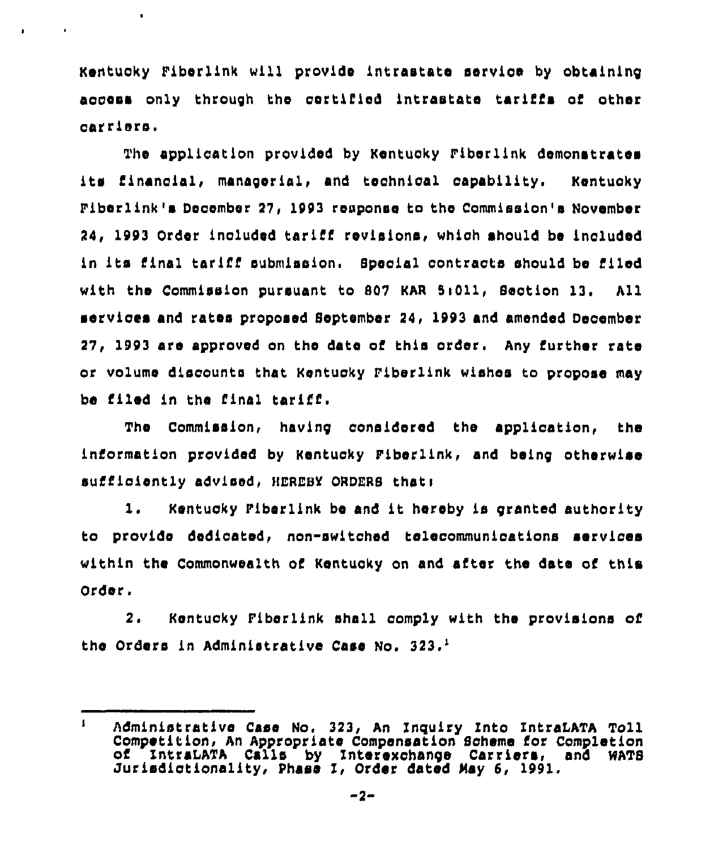Kentucky Piberlink will provide intrastate service by obtaining access only through the certified intrastate tariffs of other carriers,

 $\blacksquare$ 

The application provided by Kentucky Piberlink demonstrates its financial, managerial, and technical capability. Kentucky Piberlink's Deoember 27, 1993 response to the Commission'a November 24, 1993 Order included tariff revisions, which should be included in its final tariff submission. Special contracts should be filed with the Commission pursuant to 807 KAR 6i011, Section 13. All <sup>~</sup>ervioes and rates proposed September 24, 1993 and amended December 27, 1993 are approved on the date of this order. Any further rate or volume discounts that Kentucky Piberlink wishes to propose may be filed in the final tariff.

The Commission, having considered the application, the information provided by Kentucky Piberlink, and being otherwise sufficiently advised, REREBY ORDERS thati

1. Kentucky Piberlink be and it hereby is granted authority to provide dedicated, non-switched telecommunications services within the Commonwealth of Kentucky on and after the date of this Order.

2. Kentucky Fiberlink shall comply with the provisions of the Orders in Administrative Case No. 323.<sup>1</sup>

 $\mathbf{1}$ Administrative Case No. 323, An Inquiry Into IntraLATA Toll Competition, An Appropriate Compensation Scheme for Completion<br>of IntraLATA Calls by Interexchange Carriers, and WATS<br>Jurisdictionality, Phase I, Order dated May 6, 1991. of IntraLATA Calls by Interexchange Carriers, and WATB